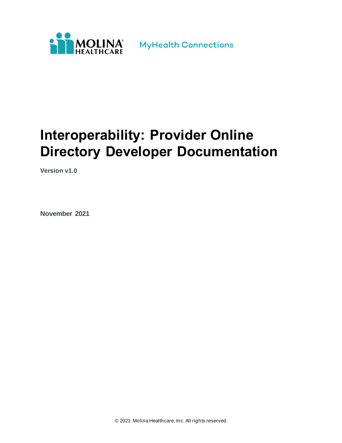

# **Interoperability: Provider Online Directory Developer Documentation**

**Version v1.0**

**November 2021**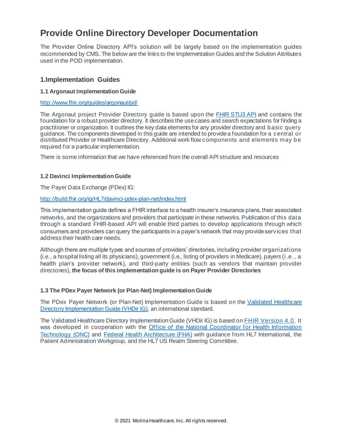# **Provide Online Directory Developer Documentation**

The Provider Online Directory API's solution will be largely based on the implementation guides recommended by CMS. The below are the links to the Implementation Guides and the Solution Attributes used in the POD implementation.

## **1.Implementation Guides**

#### **1.1 Argonaut Implementation Guide**

<http://www.fhir.org/guides/argonaut/pd/>

The Argonaut project Provider Directory guide is based upon the **FHIR STU3 API** and contains the foundation for a robust provider directory. It describes the use cases and search expectations for finding a practitioner or organization. It outlines the key data elements for any provider directory and basic query guidance. The components developed in this guide are intended to provide a foundation for a central or distributed Provider or Healthcare Directory. Additional work flow components and elements may be required for a particular implementation.

There is some information that we have referenced from the overall API structure and resources

#### **1.2 Davinci Implementation Guide**

The Payer Data Exchange (PDex) IG:

#### <http://build.fhir.org/ig/HL7/davinci-pdex-plan-net/index.html>

This implementation guide defines a FHIR interface to a health insurer's insurance plans, their associated networks, and the organizations and providers that participate in these networks. Publication of this data through a standard FHIR-based API will enable third parties to develop applications through which consumers and providers can query the participants in a payer's network that may provide services that address their health care needs.

Although there are multiple types and sources of providers' directories, including provider organizations (i.e., a hospital listing all its physicians), government (i.e., listing of providers in Medicare), payers (i.e., a health plan's provider network), and third-party entities (such as vendors that maintain provider directories), **the focus of this implementation guide is on Payer Provider Directories**

#### **1.3 The PDex Payer Network (or Plan-Net) Implementation Guide**

The PDex Payer Network (or Plan-Net) Implementation Guide is based on the [Validated Healthcare](http://hl7.org/fhir/uv/vhdir/2018Sep/index.html)  [Directory Implementation Guide \(VHDir IG\)](http://hl7.org/fhir/uv/vhdir/2018Sep/index.html), an international standard.

The Validated Healthcare Directory Implementation Guide (VHDir IG) is based on F[HIR Version 4.0.](http://hl7.org/fhir/2018Sep/) It was developed in cooperation with the Office of the National Coordinator for Health Information [Technology](http://www.healthit.gov/newsroom/about-onc) (ONC) and [Federal Health Architecture \(FHA\)](https://www.healthit.gov/policy-researchers-implementers/federal-health-architecture-fha) with guidance from HL7 International, the Patient Administration Workgroup, and the HL7 US Realm Steering Committee.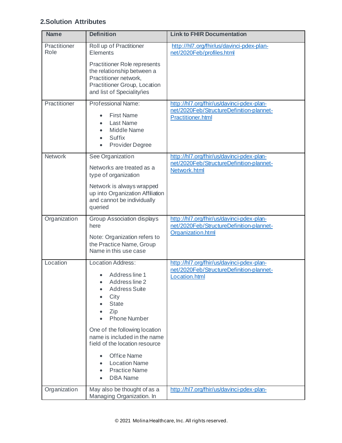# **2.Solution Attributes**

| <b>Name</b>          | <b>Definition</b>                                                                                                                                                                                                                                                                                                                                                                                                    | <b>Link to FHIR Documentation</b>                                                                                 |
|----------------------|----------------------------------------------------------------------------------------------------------------------------------------------------------------------------------------------------------------------------------------------------------------------------------------------------------------------------------------------------------------------------------------------------------------------|-------------------------------------------------------------------------------------------------------------------|
| Practitioner<br>Role | Roll up of Practitioner<br>Elements<br><b>Practitioner Role represents</b><br>the relationship between a<br>Practitioner network,<br>Practitioner Group, Location<br>and list of Speciality/ies                                                                                                                                                                                                                      | http://hl7.org/fhir/us/davinci-pdex-plan-<br>net/2020Feb/profiles.html                                            |
| Practitioner         | Professional Name:<br><b>First Name</b><br>Last Name<br>Middle Name<br>$\bullet$<br>Suffix<br>$\bullet$<br>Provider Degree<br>$\bullet$                                                                                                                                                                                                                                                                              | http://hl7.org/fhir/us/davinci-pdex-plan-<br>net/2020Feb/StructureDefinition-plannet-<br><b>Practitioner.html</b> |
| Network              | See Organization<br>Networks are treated as a<br>type of organization<br>Network is always wrapped<br>up into Organization Affiliation<br>and cannot be individually<br>queried                                                                                                                                                                                                                                      | http://hl7.org/fhir/us/davinci-pdex-plan-<br>net/2020Feb/StructureDefinition-plannet-<br>Network.html             |
| Organization         | Group Association displays<br>here<br>Note: Organization refers to<br>the Practice Name, Group<br>Name in this use case                                                                                                                                                                                                                                                                                              | http://hl7.org/fhir/us/davinci-pdex-plan-<br>net/2020Feb/StructureDefinition-plannet-<br>Organization.html        |
| Location             | <b>Location Address:</b><br>Address line 1<br>Address line 2<br>$\bullet$<br><b>Address Suite</b><br>City<br>$\bullet$<br><b>State</b><br>Zip<br><b>Phone Number</b><br>One of the following location<br>name is included in the name<br>field of the location resource<br><b>Office Name</b><br>$\bullet$<br><b>Location Name</b><br>$\bullet$<br><b>Practice Name</b><br>$\bullet$<br><b>DBA Name</b><br>$\bullet$ | http://hl7.org/fhir/us/davinci-pdex-plan-<br>net/2020Feb/StructureDefinition-plannet-<br>Location.html            |
| Organization         | May also be thought of as a<br>Managing Organization. In                                                                                                                                                                                                                                                                                                                                                             | http://hl7.org/fhir/us/davinci-pdex-plan-                                                                         |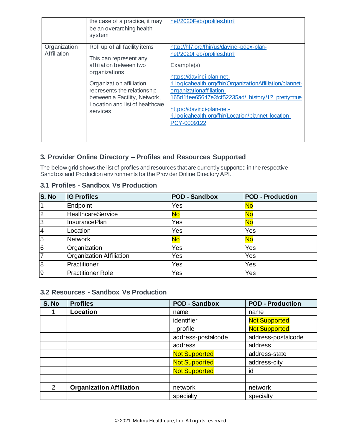|                             | the case of a practice, it may<br>be an overarching health<br>system                                                                                                                                                                          | net/2020Feb/profiles.html                                                                                                                                                                                                                                                                                                                                         |
|-----------------------------|-----------------------------------------------------------------------------------------------------------------------------------------------------------------------------------------------------------------------------------------------|-------------------------------------------------------------------------------------------------------------------------------------------------------------------------------------------------------------------------------------------------------------------------------------------------------------------------------------------------------------------|
| Organization<br>Affiliation | Roll up of all facility items<br>This can represent any<br>affiliation between two<br>organizations<br>Organization affiliation<br>represents the relationship<br>between a Facility, Network,<br>Location and list of healthcare<br>services | http://hl7.org/fhir/us/davinci-pdex-plan-<br>net/2020Feb/profiles.html<br>Example(s)<br>https://davinci-plan-net-<br>ri.logicahealth.org/fhir/OrganizationAffiliation/plannet-<br>organizationaffiliation-<br>165d1fee65647e3fcf52235ad/history/1? pretty=true<br>https://davinci-plan-net-<br>ri.logicahealth.org/fhir/Location/plannet-location-<br>PCY-0009122 |

# **3. Provider Online Directory – Profiles and Resources Supported**

The below grid shows the list of profiles and resources that are currently supported in the respective Sandbox and Production environments for the Provider Online Directory API.

## **3.1 Profiles - Sandbox Vs Production**

| S. No          | <b>IG Profiles</b>       | <b>POD - Sandbox</b> | <b>POD - Production</b> |
|----------------|--------------------------|----------------------|-------------------------|
|                | Endpoint                 | Yes                  | No                      |
| 2              | HealthcareService        | <u>No</u>            | <b>No</b>               |
| Ι3             | <b>InsurancePlan</b>     | Yes                  | No                      |
| 4              | Location                 | Yes                  | Yes                     |
| $\overline{5}$ | <b>Network</b>           | <b>No</b>            | No                      |
| 6              | Organization             | Yes                  | Yes                     |
| Γ7             | Organization Affiliation | Yes                  | Yes                     |
| 8              | Practitioner             | Yes                  | Yes                     |
| l9             | <b>Practitioner Role</b> | Yes                  | Yes                     |

# **3.2 Resources - Sandbox Vs Production**

| S. No          | <b>Profiles</b>                 | <b>POD - Sandbox</b> | <b>POD - Production</b> |
|----------------|---------------------------------|----------------------|-------------------------|
|                | Location                        | name                 | name                    |
|                |                                 | identifier           | <b>Not Supported</b>    |
|                |                                 | profile              | <b>Not Supported</b>    |
|                |                                 | address-postalcode   | address-postalcode      |
|                |                                 | address              | address                 |
|                |                                 | <b>Not Supported</b> | address-state           |
|                |                                 | <b>Not Supported</b> | address-city            |
|                |                                 | <b>Not Supported</b> | id                      |
|                |                                 |                      |                         |
| $\overline{2}$ | <b>Organization Affiliation</b> | network              | network                 |
|                |                                 | specialty            | specialty               |